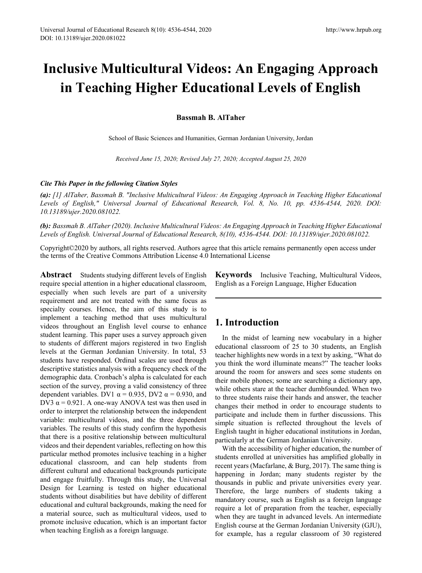# **Inclusive Multicultural Videos: An Engaging Approach in Teaching Higher Educational Levels of English**

**Bassmah B. AlTaher**

School of Basic Sciences and Humanities, German Jordanian University, Jordan

*Received June 15, 2020; Revised July 27, 2020; Accepted August 25, 2020*

#### *Cite This Paper in the following Citation Styles*

*(a): [1] AlTaher, Bassmah B. "Inclusive Multicultural Videos: An Engaging Approach in Teaching Higher Educational Levels of English," Universal Journal of Educational Research, Vol. 8, No. 10, pp. 4536-4544, 2020. DOI: 10.13189/ujer.2020.081022.* 

*(b): Bassmah B. AlTaher (2020). Inclusive Multicultural Videos: An Engaging Approach in Teaching Higher Educational Levels of English. Universal Journal of Educational Research, 8(10), 4536-4544. DOI: 10.13189/ujer.2020.081022.* 

Copyright©2020 by authors, all rights reserved. Authors agree that this article remains permanently open access under the terms of the Creative Commons Attribution License 4.0 International License

Abstract Students studying different levels of English require special attention in a higher educational classroom, especially when such levels are part of a university requirement and are not treated with the same focus as specialty courses. Hence, the aim of this study is to implement a teaching method that uses multicultural videos throughout an English level course to enhance student learning. This paper uses a survey approach given to students of different majors registered in two English levels at the German Jordanian University. In total, 53 students have responded. Ordinal scales are used through descriptive statistics analysis with a frequency check of the demographic data. Cronbach's alpha is calculated for each section of the survey, proving a valid consistency of three dependent variables. DV1  $\alpha$  = 0.935, DV2  $\alpha$  = 0.930, and DV3  $\alpha$  = 0.921. A one-way ANOVA test was then used in order to interpret the relationship between the independent variable: multicultural videos, and the three dependent variables. The results of this study confirm the hypothesis that there is a positive relationship between multicultural videos and their dependent variables, reflecting on how this particular method promotes inclusive teaching in a higher educational classroom, and can help students from different cultural and educational backgrounds participate and engage fruitfully. Through this study, the Universal Design for Learning is tested on higher educational students without disabilities but have debility of different educational and cultural backgrounds, making the need for a material source, such as multicultural videos, used to promote inclusive education, which is an important factor when teaching English as a foreign language.

**Keywords** Inclusive Teaching, Multicultural Videos, English as a Foreign Language, Higher Education

## **1. Introduction**

In the midst of learning new vocabulary in a higher educational classroom of 25 to 30 students, an English teacher highlights new words in a text by asking, "What do you think the word illuminate means?" The teacher looks around the room for answers and sees some students on their mobile phones; some are searching a dictionary app, while others stare at the teacher dumbfounded. When two to three students raise their hands and answer, the teacher changes their method in order to encourage students to participate and include them in further discussions. This simple situation is reflected throughout the levels of English taught in higher educational institutions in Jordan, particularly at the German Jordanian University.

With the accessibility of higher education, the number of students enrolled at universities has amplified globally in recent years (Macfarlane, & Burg, 2017). The same thing is happening in Jordan; many students register by the thousands in public and private universities every year. Therefore, the large numbers of students taking a mandatory course, such as English as a foreign language require a lot of preparation from the teacher, especially when they are taught in advanced levels. An intermediate English course at the German Jordanian University (GJU), for example, has a regular classroom of 30 registered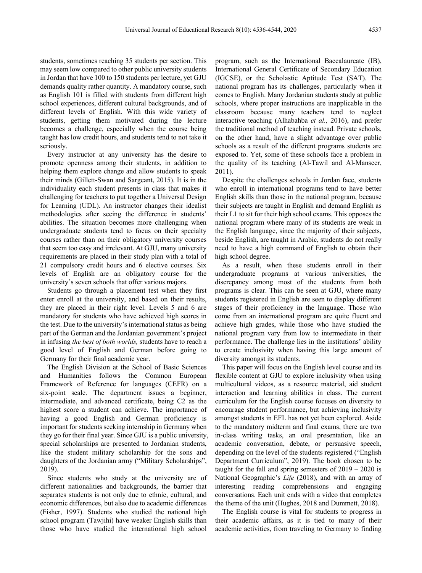students, sometimes reaching 35 students per section. This may seem low compared to other public university students in Jordan that have 100 to 150 students per lecture, yet GJU demands quality rather quantity. A mandatory course, such as English 101 is filled with students from different high school experiences, different cultural backgrounds, and of different levels of English. With this wide variety of students, getting them motivated during the lecture becomes a challenge, especially when the course being taught has low credit hours, and students tend to not take it seriously.

Every instructor at any university has the desire to promote openness among their students, in addition to helping them explore change and allow students to speak their minds (Gillett-Swan and Sargeant, 2015). It is in the individuality each student presents in class that makes it challenging for teachers to put together a Universal Design for Learning (UDL). An instructor changes their idealist methodologies after seeing the difference in students' abilities. The situation becomes more challenging when undergraduate students tend to focus on their specialty courses rather than on their obligatory university courses that seem too easy and irrelevant. At GJU, many university requirements are placed in their study plan with a total of 21 compulsory credit hours and 6 elective courses. Six levels of English are an obligatory course for the university's seven schools that offer various majors.

Students go through a placement test when they first enter enroll at the university, and based on their results, they are placed in their right level. Levels 5 and 6 are mandatory for students who have achieved high scores in the test. Due to the university's international status as being part of the German and the Jordanian government's project in infusing *the best of both worlds,* students have to reach a good level of English and German before going to Germany for their final academic year.

The English Division at the School of Basic Sciences and Humanities follows the Common European Framework of Reference for languages (CEFR) on a six-point scale. The department issues a beginner, intermediate, and advanced certificate, being C2 as the highest score a student can achieve. The importance of having a good English and German proficiency is important for students seeking internship in Germany when they go for their final year. Since GJU is a public university, special scholarships are presented to Jordanian students, like the student military scholarship for the sons and daughters of the Jordanian army ("Military Scholarships", 2019).

Since students who study at the university are of different nationalities and backgrounds, the barrier that separates students is not only due to ethnic, cultural, and economic differences, but also due to academic differences (Fisher, 1997). Students who studied the national high school program (Tawjihi) have weaker English skills than those who have studied the international high school

program, such as the International Baccalaureate (IB), International General Certificate of Secondary Education (IGCSE), or the Scholastic Aptitude Test (SAT). The national program has its challenges, particularly when it comes to English. Many Jordanian students study at public schools, where proper instructions are inapplicable in the classroom because many teachers tend to neglect interactive teaching (Alhabahba *et al.,* 2016), and prefer the traditional method of teaching instead. Private schools, on the other hand, have a slight advantage over public schools as a result of the different programs students are exposed to. Yet, some of these schools face a problem in the quality of its teaching (Al-Tawil and Al-Manseer, 2011).

Despite the challenges schools in Jordan face, students who enroll in international programs tend to have better English skills than those in the national program, because their subjects are taught in English and demand English as their L1 to sit for their high school exams. This opposes the national program where many of its students are weak in the English language, since the majority of their subjects, beside English, are taught in Arabic, students do not really need to have a high command of English to obtain their high school degree.

As a result, when these students enroll in their undergraduate programs at various universities, the discrepancy among most of the students from both programs is clear. This can be seen at GJU, where many students registered in English are seen to display different stages of their proficiency in the language. Those who come from an international program are quite fluent and achieve high grades, while those who have studied the national program vary from low to intermediate in their performance. The challenge lies in the institutions' ability to create inclusivity when having this large amount of diversity amongst its students.

This paper will focus on the English level course and its flexible content at GJU to explore inclusivity when using multicultural videos, as a resource material, aid student interaction and learning abilities in class. The current curriculum for the English course focuses on diversity to encourage student performance, but achieving inclusivity amongst students in EFL has not yet been explored. Aside to the mandatory midterm and final exams, there are two in-class writing tasks, an oral presentation, like an academic conversation, debate, or persuasive speech, depending on the level of the students registered ("English Department Curriculum", 2019). The book chosen to be taught for the fall and spring semesters of 2019 – 2020 is National Geographic's *Life* (2018), and with an array of interesting reading comprehensions and engaging conversations. Each unit ends with a video that completes the theme of the unit (Hughes, 2018 and Dummett, 2018).

The English course is vital for students to progress in their academic affairs, as it is tied to many of their academic activities, from traveling to Germany to finding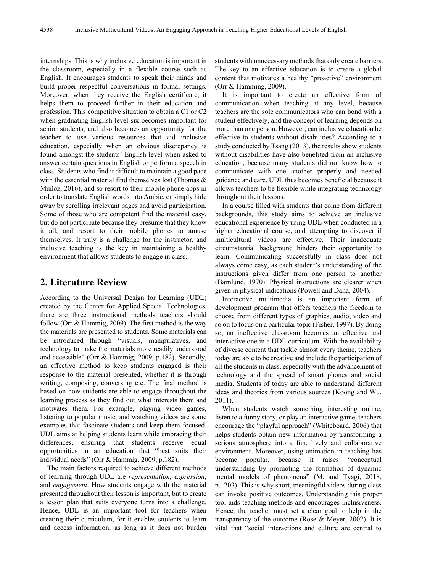internships. This is why inclusive education is important in the classroom, especially in a flexible course such as English. It encourages students to speak their minds and build proper respectful conversations in formal settings. Moreover, when they receive the English certificate, it helps them to proceed further in their education and profession. This competitive situation to obtain a C1 or C2 when graduating English level six becomes important for senior students, and also becomes an opportunity for the teacher to use various resources that aid inclusive education, especially when an obvious discrepancy is found amongst the students' English level when asked to answer certain questions in English or perform a speech in class. Students who find it difficult to maintain a good pace with the essential material find themselves lost (Thomas & Muñoz, 2016), and so resort to their mobile phone apps in order to translate English words into Arabic, or simply hide away by scrolling irrelevant pages and avoid participation. Some of those who are competent find the material easy, but do not participate because they presume that they know it all, and resort to their mobile phones to amuse themselves. It truly is a challenge for the instructor, and inclusive teaching is the key in maintaining a healthy environment that allows students to engage in class.

## **2. Literature Review**

According to the Universal Design for Learning (UDL) created by the Center for Applied Special Technologies, there are three instructional methods teachers should follow (Orr & Hammig, 2009). The first method is the way the materials are presented to students. Some materials can be introduced through "visuals, manipulatives, and technology to make the materials more readily understood and accessible" (Orr & Hammig, 2009, p.182). Secondly, an effective method to keep students engaged is their response to the material presented, whether it is through writing, composing, conversing etc. The final method is based on how students are able to engage throughout the learning process as they find out what interests them and motivates them. For example, playing video games, listening to popular music, and watching videos are some examples that fascinate students and keep them focused. UDL aims at helping students learn while embracing their differences, ensuring that students receive equal opportunities in an education that "best suits their individual needs" (Orr & Hammig, 2009, p.182).

The main factors required to achieve different methods of learning through UDL are *representation*, *expression*, and *engagement*. How students engage with the material presented throughout their lesson is important, but to create a lesson plan that suits everyone turns into a challenge. Hence, UDL is an important tool for teachers when creating their curriculum, for it enables students to learn and access information, as long as it does not burden students with unnecessary methods that only create barriers. The key to an effective education is to create a global content that motivates a healthy "proactive" environment (Orr & Hamming, 2009).

It is important to create an effective form of communication when teaching at any level, because teachers are the sole communicators who can bond with a student effectively, and the concept of learning depends on more than one person. However, can inclusive education be effective to students without disabilities? According to a study conducted by Tsang (2013), the results show students without disabilities have also benefited from an inclusive education, because many students did not know how to communicate with one another properly and needed guidance and care. UDL thus becomes beneficial because it allows teachers to be flexible while integrating technology throughout their lessons.

In a course filled with students that come from different backgrounds, this study aims to achieve an inclusive educational experience by using UDL when conducted in a higher educational course, and attempting to discover if multicultural videos are effective. Their inadequate circumstantial background hinders their opportunity to learn. Communicating successfully in class does not always come easy, as each student's understanding of the instructions given differ from one person to another (Barnlund, 1970). Physical instructions are clearer when given in physical indications (Powell and Dana, 2004).

Interactive multimedia is an important form of development program that offers teachers the freedom to choose from different types of graphics, audio, video and so on to focus on a particular topic (Fisher, 1997). By doing so, an ineffective classroom becomes an effective and interactive one in a UDL curriculum. With the availability of diverse content that tackle almost every theme, teachers today are able to be creative and include the participation of all the students in class, especially with the advancement of technology and the spread of smart phones and social media. Students of today are able to understand different ideas and theories from various sources (Koong and Wu, 2011).

When students watch something interesting online, listen to a funny story, or play an interactive game, teachers encourage the "playful approach" (Whiteboard, 2006) that helps students obtain new information by transforming a serious atmosphere into a fun, lively and collaborative environment. Moreover, using animation in teaching has become popular, because it raises "conceptual understanding by promoting the formation of dynamic mental models of phenomena" (M. and Tyagi, 2018, p.1203). This is why short, meaningful videos during class can invoke positive outcomes. Understanding this proper tool aids teaching methods and encourages inclusiveness. Hence, the teacher must set a clear goal to help in the transparency of the outcome (Rose & Meyer, 2002). It is vital that "social interactions and culture are central to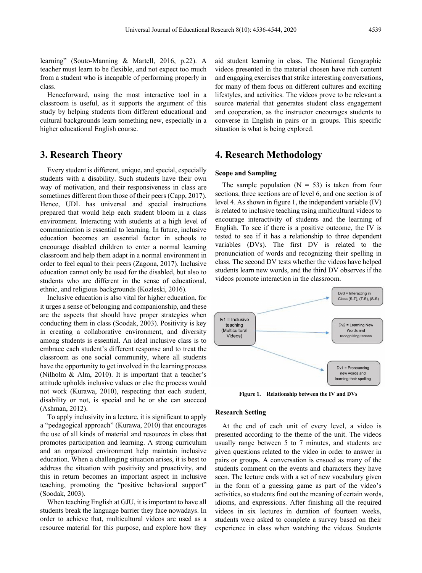learning" (Souto-Manning & Martell, 2016, p.22). A teacher must learn to be flexible, and not expect too much from a student who is incapable of performing properly in class.

Henceforward, using the most interactive tool in a classroom is useful, as it supports the argument of this study by helping students from different educational and cultural backgrounds learn something new, especially in a higher educational English course.

## **3. Research Theory**

Every student is different, unique, and special, especially students with a disability. Such students have their own way of motivation, and their responsiveness in class are sometimes different from those of their peers (Capp, 2017). Hence, UDL has universal and special instructions prepared that would help each student bloom in a class environment. Interacting with students at a high level of communication is essential to learning. In future, inclusive education becomes an essential factor in schools to encourage disabled children to enter a normal learning classroom and help them adapt in a normal environment in order to feel equal to their peers (Zagona, 2017). Inclusive education cannot only be used for the disabled, but also to students who are different in the sense of educational, ethnic, and religious backgrounds (Kozleski, 2016).

Inclusive education is also vital for higher education, for it urges a sense of belonging and companionship, and these are the aspects that should have proper strategies when conducting them in class (Soodak, 2003). Positivity is key in creating a collaborative environment, and diversity among students is essential. An ideal inclusive class is to embrace each student's different response and to treat the classroom as one social community, where all students have the opportunity to get involved in the learning process (Nilholm & Alm, 2010). It is important that a teacher's attitude upholds inclusive values or else the process would not work (Kurawa, 2010), respecting that each student, disability or not, is special and he or she can succeed (Ashman, 2012).

To apply inclusivity in a lecture, it is significant to apply a "pedagogical approach" (Kurawa, 2010) that encourages the use of all kinds of material and resources in class that promotes participation and learning. A strong curriculum and an organized environment help maintain inclusive education. When a challenging situation arises, it is best to address the situation with positivity and proactivity, and this in return becomes an important aspect in inclusive teaching, promoting the "positive behavioral support" (Soodak, 2003).

When teaching English at GJU, it is important to have all students break the language barrier they face nowadays. In order to achieve that, multicultural videos are used as a resource material for this purpose, and explore how they

aid student learning in class. The National Geographic videos presented in the material chosen have rich content and engaging exercises that strike interesting conversations, for many of them focus on different cultures and exciting lifestyles, and activities. The videos prove to be relevant a source material that generates student class engagement and cooperation, as the instructor encourages students to converse in English in pairs or in groups. This specific situation is what is being explored.

## **4. Research Methodology**

#### **Scope and Sampling**

The sample population  $(N = 53)$  is taken from four sections, three sections are of level 6, and one section is of level 4. As shown in figure 1, the independent variable (IV) is related to inclusive teaching using multicultural videos to encourage interactivity of students and the learning of English. To see if there is a positive outcome, the IV is tested to see if it has a relationship to three dependent variables (DVs). The first DV is related to the pronunciation of words and recognizing their spelling in class. The second DV tests whether the videos have helped students learn new words, and the third DV observes if the videos promote interaction in the classroom.



**Figure 1. Relationship between the IV and DVs**

#### **Research Setting**

At the end of each unit of every level, a video is presented according to the theme of the unit. The videos usually range between 5 to 7 minutes, and students are given questions related to the video in order to answer in pairs or groups. A conversation is ensued as many of the students comment on the events and characters they have seen. The lecture ends with a set of new vocabulary given in the form of a guessing game as part of the video's activities, so students find out the meaning of certain words, idioms, and expressions. After finishing all the required videos in six lectures in duration of fourteen weeks, students were asked to complete a survey based on their experience in class when watching the videos. Students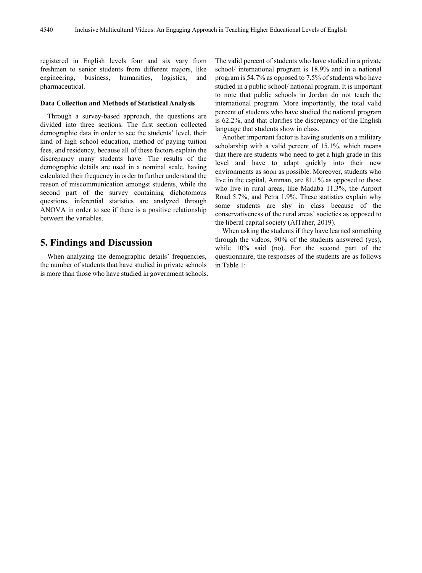registered in English levels four and six vary from freshmen to senior students from different majors, like engineering, business, humanities, logistics, and pharmaceutical.

#### **Data Collection and Methods of Statistical Analysis**

Through a survey-based approach, the questions are divided into three sections. The first section collected demographic data in order to see the students' level, their kind of high school education, method of paying tuition fees, and residency, because all of these factors explain the discrepancy many students have. The results of the demographic details are used in a nominal scale, having calculated their frequency in order to further understand the reason of miscommunication amongst students, while the second part of the survey containing dichotomous questions, inferential statistics are analyzed through ANOVA in order to see if there is a positive relationship between the variables.

## **5. Findings and Discussion**

When analyzing the demographic details' frequencies, the number of students that have studied in private schools is more than those who have studied in government schools. The valid percent of students who have studied in a private school/ international program is 18.9% and in a national program is 54.7% as opposed to 7.5% of students who have studied in a public school/ national program. It is important to note that public schools in Jordan do not teach the international program. More importantly, the total valid percent of students who have studied the national program is 62.2%, and that clarifies the discrepancy of the English language that students show in class.

Another important factor is having students on a military scholarship with a valid percent of 15.1%, which means that there are students who need to get a high grade in this level and have to adapt quickly into their new environments as soon as possible. Moreover, students who live in the capital, Amman, are 81.1% as opposed to those who live in rural areas, like Madaba 11.3%, the Airport Road 5.7%, and Petra 1.9%. These statistics explain why some students are shy in class because of the conservativeness of the rural areas' societies as opposed to the liberal capital society (AlTaher, 2019).

When asking the students if they have learned something through the videos, 90% of the students answered (yes), while 10% said (no). For the second part of the questionnaire, the responses of the students are as follows in Table 1: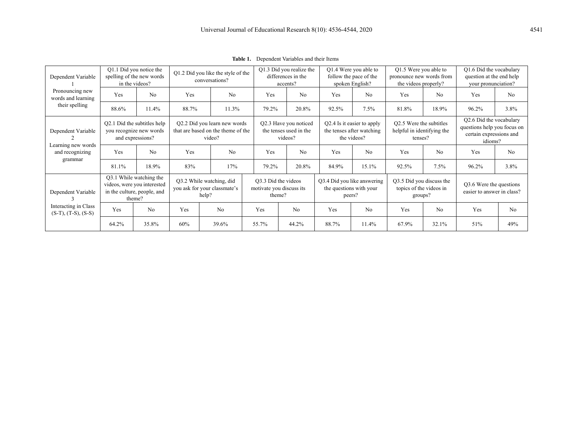| Dependent Variable<br>Pronouncing new<br>words and learning<br>their spelling | Q1.1 Did you notice the<br>spelling of the new words<br>in the videos?                          |                | Q1.2 Did you like the style of the<br>conversations?                         |                |       | Q1.3 Did you realize the<br>differences in the<br>accents? |            | Q1.4 Were you able to<br>follow the pace of the<br>spoken English?     |       | Q1.5 Were you able to<br>pronounce new words from<br>the videos properly? |            | Q1.6 Did the vocabulary<br>question at the end help<br>your pronunciation?                   |  |
|-------------------------------------------------------------------------------|-------------------------------------------------------------------------------------------------|----------------|------------------------------------------------------------------------------|----------------|-------|------------------------------------------------------------|------------|------------------------------------------------------------------------|-------|---------------------------------------------------------------------------|------------|----------------------------------------------------------------------------------------------|--|
|                                                                               | Yes                                                                                             | N <sub>0</sub> | Yes                                                                          | No             | Yes   | N <sub>0</sub>                                             | <b>Yes</b> | N <sub>0</sub>                                                         | Yes   | No                                                                        | <b>Yes</b> | N <sub>0</sub>                                                                               |  |
|                                                                               | 88.6%                                                                                           | 11.4%          | 88.7%                                                                        | 11.3%          | 79.2% | 20.8%                                                      | 92.5%      | 7.5%                                                                   | 81.8% | 18.9%                                                                     | 96.2%      | 3.8%                                                                                         |  |
| Dependent Variable<br>Learning new words<br>and recognizing<br>grammar        | Q2.1 Did the subtitles help<br>you recognize new words<br>and expressions?                      |                | Q2.2 Did you learn new words<br>that are based on the theme of the<br>video? |                |       | Q2.3 Have you noticed<br>the tenses used in the<br>videos? |            | Q2.4 Is it easier to apply<br>the tenses after watching<br>the videos? |       | O2.5 Were the subtitles<br>helpful in identifying the<br>tenses?          |            | Q2.6 Did the vocabulary<br>questions help you focus on<br>certain expressions and<br>idioms? |  |
|                                                                               | Yes                                                                                             | N <sub>0</sub> | Yes                                                                          | N <sub>0</sub> | Yes   | N <sub>0</sub>                                             | Yes        | N <sub>0</sub>                                                         | Yes   | N <sub>o</sub>                                                            | Yes        | N <sub>0</sub>                                                                               |  |
|                                                                               | 81.1%                                                                                           | 18.9%          | 83%                                                                          | 17%            | 79.2% | 20.8%                                                      | 84.9%      | 15.1%                                                                  | 92.5% | 7.5%                                                                      | 96.2%      | 3.8%                                                                                         |  |
| Dependent Variable<br>Interacting in Class<br>$(S-T), (T-S), (S-S)$           | Q3.1 While watching the<br>videos, were you interested<br>in the culture, people, and<br>theme? |                | Q3.2 While watching, did<br>you ask for your classmate's<br>help?            |                |       | O3.3 Did the videos<br>motivate you discuss its<br>theme?  |            | Q3.4 Did you like answering<br>the questions with your<br>peers?       |       | Q3.5 Did you discuss the<br>topics of the videos in<br>groups?            |            | Q3.6 Were the questions<br>easier to answer in class?                                        |  |
|                                                                               | Yes                                                                                             | No             | Yes                                                                          | No             | Yes   | N <sub>0</sub>                                             | Yes        | N <sub>o</sub>                                                         | Yes   | N <sub>o</sub>                                                            | Yes        | N <sub>0</sub>                                                                               |  |
|                                                                               | 64.2%                                                                                           | 35.8%          | 60%                                                                          | 39.6%          | 55.7% | 44.2%                                                      | 88.7%      | 11.4%                                                                  | 67.9% | 32.1%                                                                     | 51%        | 49%                                                                                          |  |

**Table 1.** Dependent Variables and their Items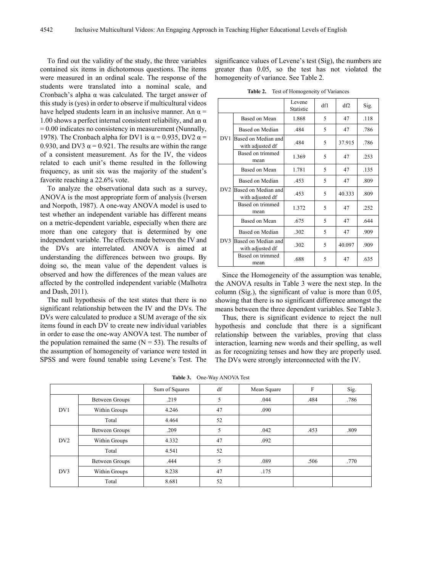To find out the validity of the study, the three variables contained six items in dichotomous questions. The items were measured in an ordinal scale. The response of the students were translated into a nominal scale, and Cronbach's alpha  $\alpha$  was calculated. The target answer of this study is (yes) in order to observe if multicultural videos have helped students learn in an inclusive manner. An  $\alpha$  = 1.00 shows a perfect internal consistent reliability, and an  $\alpha$  $= 0.00$  indicates no consistency in measurement (Nunnally, 1978). The Cronbach alpha for DV1 is  $\alpha$  = 0.935, DV2  $\alpha$  = 0.930, and DV3  $\alpha$  = 0.921. The results are within the range of a consistent measurement. As for the IV, the videos related to each unit's theme resulted in the following frequency, as unit six was the majority of the student's favorite reaching a 22.6% vote.

To analyze the observational data such as a survey, ANOVA is the most appropriate form of analysis (Iversen and Norpoth, 1987). A one-way ANOVA model is used to test whether an independent variable has different means on a metric-dependent variable, especially when there are more than one category that is determined by one independent variable. The effects made between the IV and the DVs are interrelated. ANOVA is aimed at understanding the differences between two groups. By doing so, the mean value of the dependent values is observed and how the differences of the mean values are affected by the controlled independent variable (Malhotra and Dash, 2011).

The null hypothesis of the test states that there is no significant relationship between the IV and the DVs. The DVs were calculated to produce a SUM average of the six items found in each DV to create new individual variables in order to ease the one-way ANOVA test. The number of the population remained the same  $(N = 53)$ . The results of the assumption of homogeneity of variance were tested in SPSS and were found tenable using Levene's Test. The

significance values of Levene's test (Sig), the numbers are greater than 0.05, so the test has not violated the homogeneity of variance. See Table 2.

**Table 2.** Test of Homogeneity of Variances

|     |                                         | Levene<br>Statistic | df1 | df2    | Sig. |
|-----|-----------------------------------------|---------------------|-----|--------|------|
| DY1 | Based on Mean                           | 1.868               | 5   | 47     | .118 |
|     | Based on Median                         | .484                | 5   | 47     | .786 |
|     | Based on Median and<br>with adjusted df | .484                | 5   | 37.915 | .786 |
|     | Based on trimmed<br>mean                | 1.369               | 5   | 47     | .253 |
| DV2 | Based on Mean                           | 1.781               | 5   | 47     | .135 |
|     | Based on Median                         | .453                | 5   | 47     | .809 |
|     | Based on Median and<br>with adjusted df | .453                | 5   | 40.333 | .809 |
|     | Based on trimmed<br>mean                | 1.372               | 5   | 47     | .252 |
| DV3 | Based on Mean                           | .675                | 5   | 47     | .644 |
|     | Based on Median                         | .302                | 5   | 47     | .909 |
|     | Based on Median and<br>with adjusted df | .302                | 5   | 40.097 | .909 |
|     | Based on trimmed<br>mean                | .688                | 5   | 47     | .635 |

Since the Homogeneity of the assumption was tenable, the ANOVA results in Table 3 were the next step. In the column (Sig.), the significant of value is more than 0.05, showing that there is no significant difference amongst the means between the three dependent variables. See Table 3.

Thus, there is significant evidence to reject the null hypothesis and conclude that there is a significant relationship between the variables, proving that class interaction, learning new words and their spelling, as well as for recognizing tenses and how they are properly used. The DVs were strongly interconnected with the IV.

**Table 3.** One-Way ANOVA Test

|                 |                       | Sum of Squares | df | Mean Square | F    | Sig. |
|-----------------|-----------------------|----------------|----|-------------|------|------|
| DV1             | <b>Between Groups</b> | .219           | 5  | .044        | .484 | .786 |
|                 | Within Groups         | 4.246          | 47 | .090        |      |      |
|                 | Total                 | 4.464          | 52 |             |      |      |
| DV <sub>2</sub> | <b>Between Groups</b> | .209           | 5  | .042        | .453 | .809 |
|                 | Within Groups         | 4.332          | 47 | .092        |      |      |
|                 | Total                 | 4.541          | 52 |             |      |      |
| DV3             | <b>Between Groups</b> | .444           | 5  | .089        | .506 | .770 |
|                 | Within Groups         | 8.238          | 47 | .175        |      |      |
|                 | Total                 | 8.681          | 52 |             |      |      |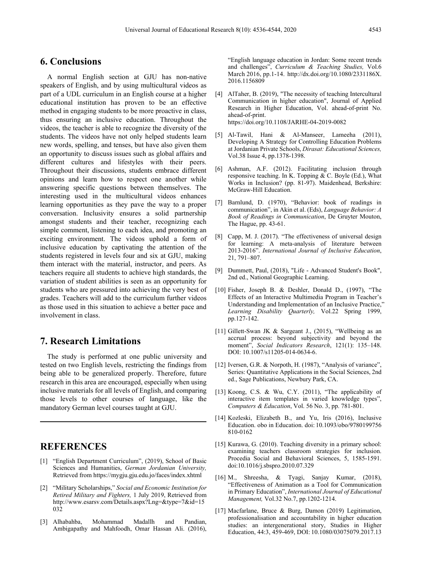## **6. Conclusions**

A normal English section at GJU has non-native speakers of English, and by using multicultural videos as part of a UDL curriculum in an English course at a higher educational institution has proven to be an effective method in engaging students to be more proactive in class, thus ensuring an inclusive education. Throughout the videos, the teacher is able to recognize the diversity of the students. The videos have not only helped students learn new words, spelling, and tenses, but have also given them an opportunity to discuss issues such as global affairs and different cultures and lifestyles with their peers. Throughout their discussions, students embrace different opinions and learn how to respect one another while answering specific questions between themselves. The interesting used in the multicultural videos enhances learning opportunities as they pave the way to a proper conversation. Inclusivity ensures a solid partnership amongst students and their teacher, recognizing each simple comment, listening to each idea, and promoting an exciting environment. The videos uphold a form of inclusive education by captivating the attention of the students registered in levels four and six at GJU, making them interact with the material, instructor, and peers. As teachers require all students to achieve high standards, the variation of student abilities is seen as an opportunity for students who are pressured into achieving the very best of grades. Teachers will add to the curriculum further videos as those used in this situation to achieve a better pace and involvement in class.

## **7. Research Limitations**

The study is performed at one public university and tested on two English levels, restricting the findings from being able to be generalized properly. Therefore, future research in this area are encouraged, especially when using inclusive materials for all levels of English, and comparing those levels to other courses of language, like the mandatory German level courses taught at GJU.

## **REFERENCES**

- [1] "English Department Curriculum", (2019), School of Basic Sciences and Humanities, *German Jordanian University,* Retrieved from <https://mygju.gju.edu.jo/faces/index.xhtml>
- [2] "Military Scholarships," *Social and Economic Institution for Retired Military and Fighters,* 1 July 2019, Retrieved from [http://www.esarsv.com/Details.aspx?Lng=&type=7&id=15](http://www.esarsv.com/Details.aspx?Lng=&type=7&id=15032) [032](http://www.esarsv.com/Details.aspx?Lng=&type=7&id=15032)
- [3] Alhabahba, Mohammad Madallh and Pandian, Ambigapathy and Mahfoodh, Omar Hassan Ali. (2016),

"English language education in Jordan: Some recent trends and challenges", *Curriculum & Teaching Studies,* Vol.6 March 2016, pp.1-14. http://dx.doi.org/10.1080/2331186X. 2016.1156809

- [4] AlTaher, B. (2019). "The necessity of teaching Intercultural Communication in higher education", Journal of [Applied](https://www.emerald.com/insight/publication/issn/2050-7003) Research in Higher [Education,](https://www.emerald.com/insight/publication/issn/2050-7003) Vol. ahead-of-print No. ahead-of-print. <https://doi.org/10.1108/JARHE-04-2019-0082>
- [5] Al-Tawil, Hani & Al-Manseer, Lameeha (2011), Developing A Strategy for Controlling Education Problems at Jordanian Private Schools, *Dirasat: Educational Sciences,* Vol.38 Issue 4, pp.1378-1398.
- [6] Ashman, A.F. (2012). Facilitating inclusion through responsive teaching. In K. Topping & C. Boyle (Ed.), What Works in Inclusion? (pp. 81-97). Maidenhead, Berkshire: McGraw-Hill Education.
- [7] Barnlund, D. (1970), "Behavior: book of readings in communication", in Akin et al. (Eds), *Language Behavior: A Book of Readings in Communication*, De Gruyter Mouton, The Hague, pp. 43-61.
- [8] Capp, M. J. (2017). "The effectiveness of universal design for learning: A meta-analysis of literature between 2013-2016". *International Journal of Inclusive Education*, 21, 791–807.
- [9] Dummett, Paul, (2018), "Life Advanced Student's Book", 2nd ed., National Geographic Learning.
- [10] Fisher, Joseph B. & Deshler, Donald D., (1997), "The Effects of an Interactive Multimedia Program in Teacher's Understanding and Implementation of an Inclusive Practice," *Learning Disability Quarterly,* Vol.22 Spring 1999, pp.127-142.
- [11] Gillett-Swan JK & Sargeant J., (2015), "Wellbeing as an accrual process: beyond subjectivity and beyond the moment", *Social Indicators Research*, 121(1): 135–148. DOI: 10.1007/s11205-014-0634-6.
- [12] Iversen, G.R. & Norpoth, H. (1987), "Analysis of variance", Series: Quantitative Applications in the Social Sciences, 2nd ed., Sage Publications, Newbury Park, CA.
- [13] Koong, C.S. & Wu, C.Y. (2011), "The applicability of interactive item templates in varied knowledge types", *Computers & Education*, Vol. 56 No. 3, pp. 781-801.
- [14] Kozleski, Elizabeth B., and Yu, Iris (2016), Inclusive Education. obo in Education. doi: 10.1093/obo/9780199756 810-0162
- [15] Kurawa, G. (2010). Teaching diversity in a primary school: examining teachers classroom strategies for inclusion. Procedia Social and Behavioral Sciences, 5, 1585-1591. doi:10.1016/j.sbspro.2010.07.329
- [16] M., Shreesha, & Tyagi, Sanjay Kumar, (2018), "Effectiveness of Animation as a Tool for Communication in Primary Education", *International Journal of Educational Management,* Vol.32 No.7, pp.1202-1214.
- [17] Macfarlane, Bruce & Burg, Damon (2019) Legitimation, professionalisation and accountability in higher education studies: an intergenerational story, Studies in Higher Education, 44:3, 459-469, DOI[:](https://doi.org/10.1080/03075079.2017.1376640) [10.1080/03075079.2017.13](https://doi.org/10.1080/03075079.2017.1376640)